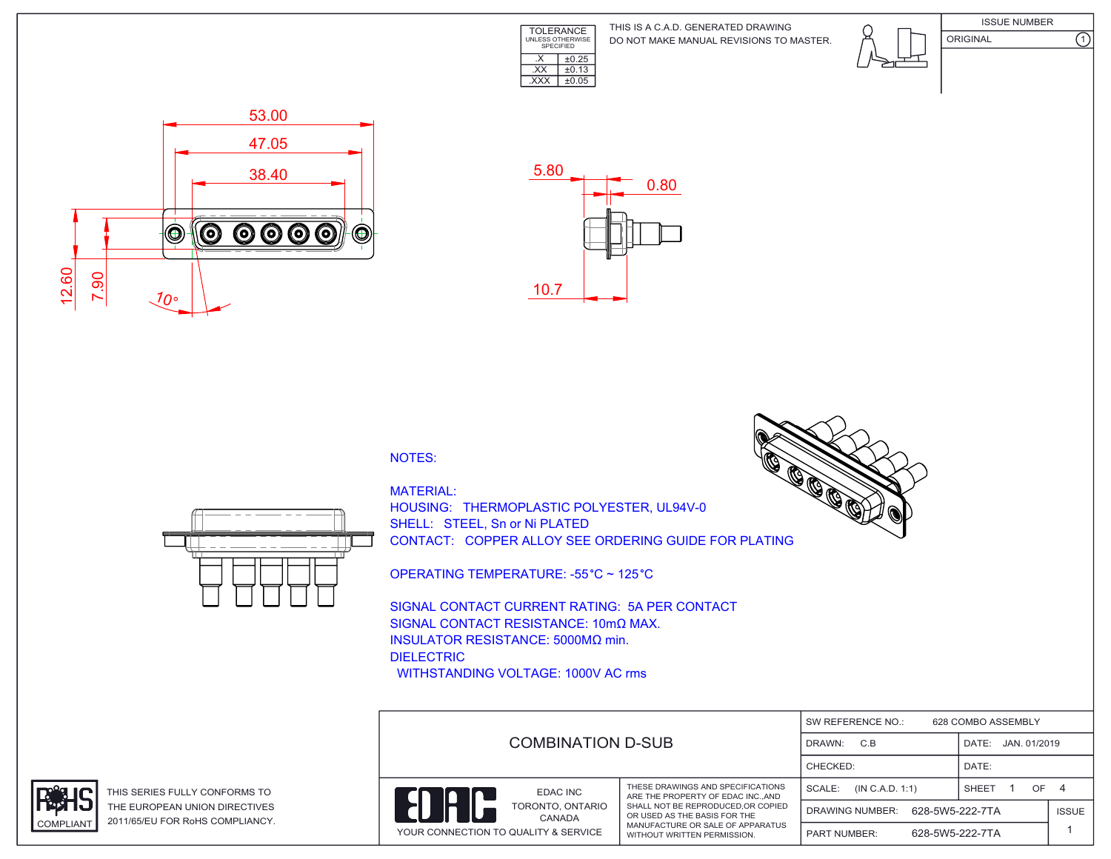

DO NOT MAKE MANUAL REVISIONS TO MASTER. THIS IS A C.A.D. GENERATED DRAWING

ISSUE NUMBER ORIGINAL (1)





## NOTES:



MATERIAL: HOUSING: THERMOPLASTIC POLYESTER, UL94V-0 SHELL: STEEL, Sn or Ni PLATED CONTACT: COPPER ALLOY SEE ORDERING GUIDE FOR PLATING

OPERATING TEMPERATURE: -55 °C ~ 125 °C

SIGNAL CONTACT CURRENT RATING: 5A PER CONTACT SIGNAL CONTACT RESISTANCE: 10mΩ MAX. INSULATOR RESISTANCE: 5000MΩ min. DIELECTRIC WITHSTANDING VOLTAGE: 1000V AC rms





THIS SERIES FULLY CONFORMS TO THE EUROPEAN UNION DIRECTIVES COMPLIANT 2011/65/EU FOR RoHS COMPLIANCY.

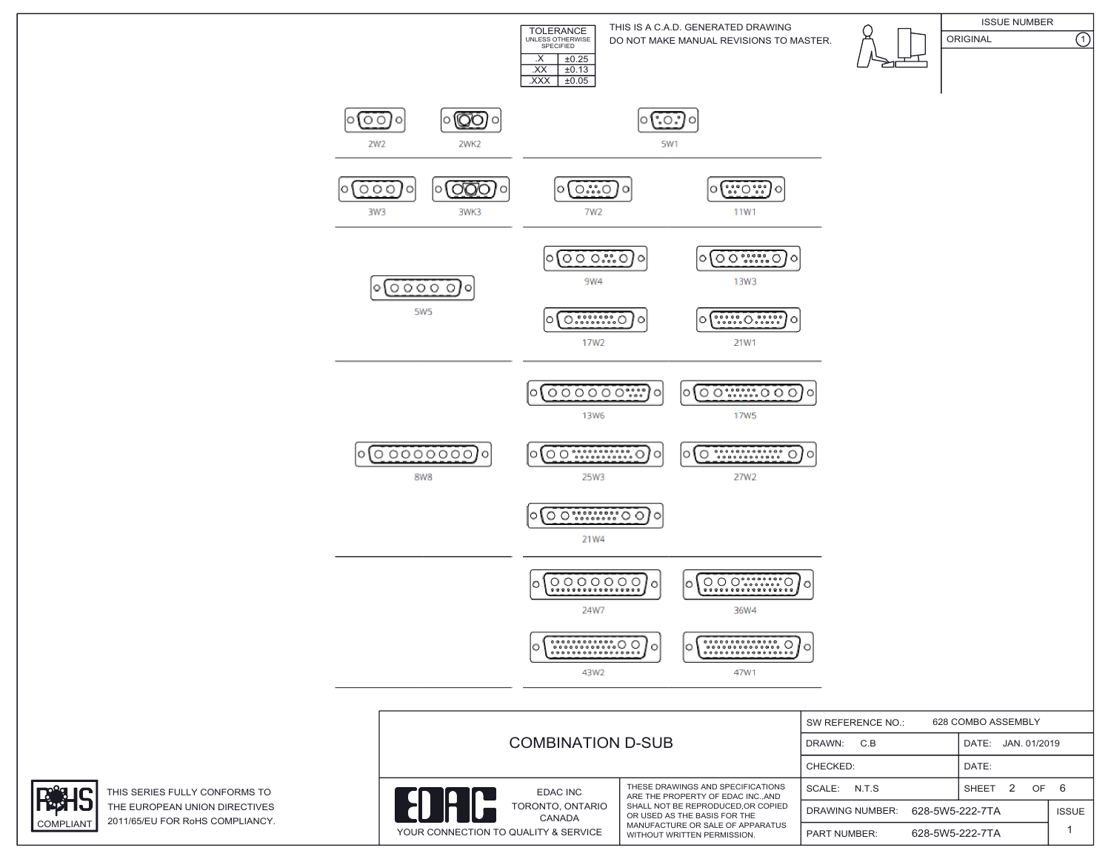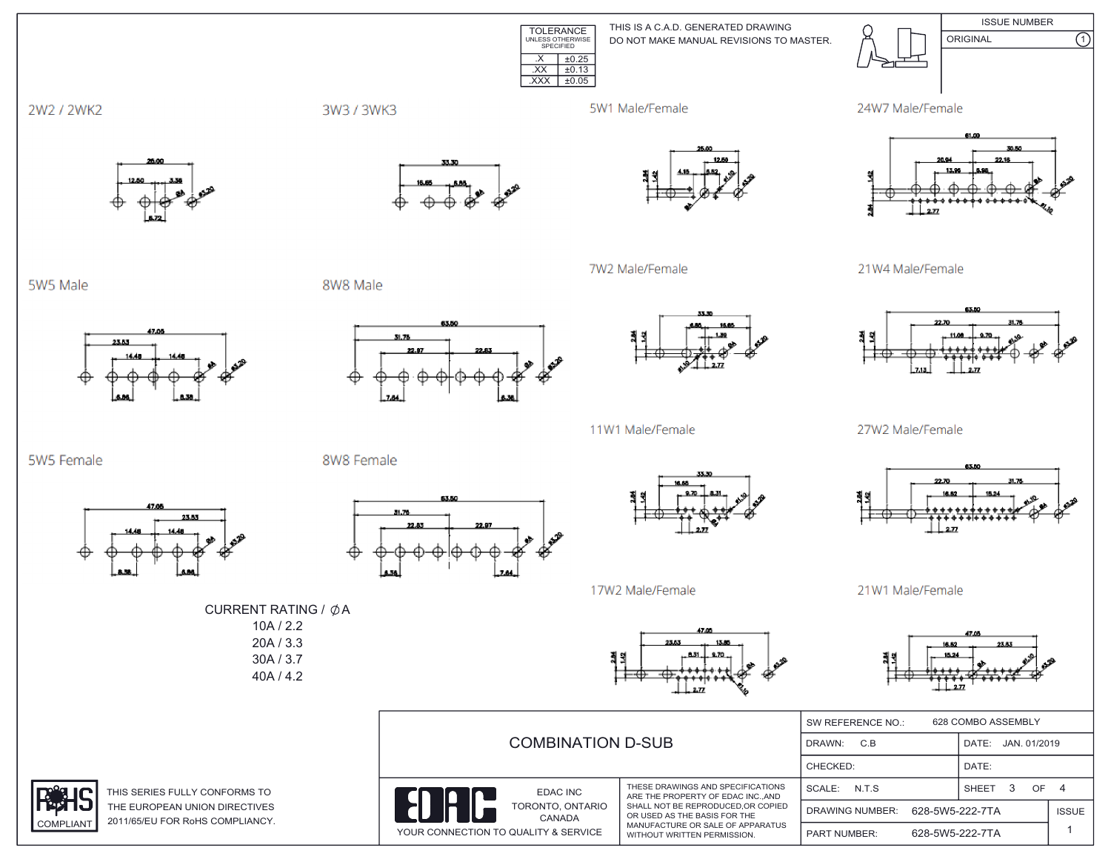TOLERANCE UNLESS OTHERWISE SPECIFIED  $\overline{XX}$   $\pm 0.13$ .XXX ±0.05DO NOT MAKE MANUAL REVISIONS TO MASTER. THIS IS A C.A.D. GENERATED DRAWING ISSUE NUMBER ORIGINAL (1)  $\overline{\text{.}x}$   $\overline{\text{+}0.25}$ 





21W4 Male/Female



27W2 Male/Female



21W1 Male/Female



|                                                                                | ⊏₩<br>w                                                                                                                                                                                                         | $\overline{ }$<br>$-2.77$                 | - 507                    |              |
|--------------------------------------------------------------------------------|-----------------------------------------------------------------------------------------------------------------------------------------------------------------------------------------------------------------|-------------------------------------------|--------------------------|--------------|
| <b>COMBINATION D-SUB</b>                                                       |                                                                                                                                                                                                                 | 628 COMBO ASSEMBLY<br>SW REFERENCE NO.:   |                          |              |
|                                                                                |                                                                                                                                                                                                                 | C.B<br>DRAWN:                             | JAN. 01/2019<br>DATE:    |              |
|                                                                                |                                                                                                                                                                                                                 | CHECKED:                                  | DATE:                    |              |
| EDAC INC<br>TORONTO, ONTARIO<br>CANADA<br>YOUR CONNECTION TO QUALITY & SERVICE | THESE DRAWINGS AND SPECIFICATIONS<br>ARE THE PROPERTY OF EDAC INC., AND<br>SHALL NOT BE REPRODUCED.OR COPIED<br>OR USED AS THE BASIS FOR THE<br>MANUFACTURE OR SALE OF APPARATUS<br>WITHOUT WRITTEN PERMISSION. | SCALE: N.T.S.                             | OF.<br><b>SHEET</b><br>3 |              |
|                                                                                |                                                                                                                                                                                                                 | 628-5W5-222-7TA<br><b>DRAWING NUMBER:</b> |                          | <b>ISSUE</b> |
|                                                                                |                                                                                                                                                                                                                 | 628-5W5-222-7TA<br><b>PART NUMBER:</b>    |                          |              |

2W2 / 2WK2

5W5 Male

5W5 Female



47.00

23.53



3W3 / 3WK3

8W8 Male

8W8 Female



7W2 Male/Female

5W1 Male/Female



53.50

31.76



11W1 Male/Female



17W2 Male/Female

. 831. . 870. 취의

10A / 2.2 20A / 3.3 30A / 3.7 40A / 4.2

CURRENT RATING /  $\phi$ A



THIS SERIES FULLY CONFORMS TO THE EUROPEAN UNION DIRECTIVES COMPLIANT 2011/65/EU FOR RoHS COMPLIANCY.

23.53